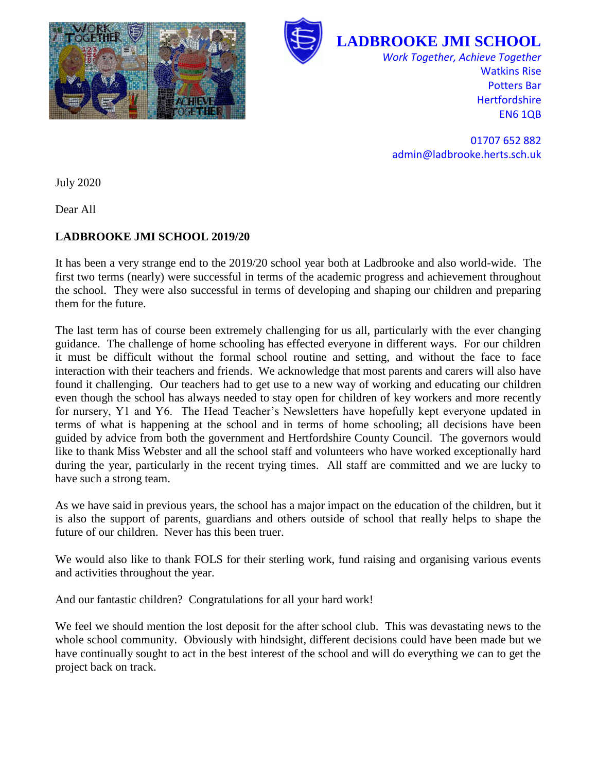



**LADBROOKE JMI SCHOOL**

*Work Together, Achieve Together* Watkins Rise Potters Bar **Hertfordshire** EN6 1QB

01707 652 882 admin@ladbrooke.herts.sch.uk

July 2020

Dear All

## **LADBROOKE JMI SCHOOL 2019/20**

It has been a very strange end to the 2019/20 school year both at Ladbrooke and also world-wide. The first two terms (nearly) were successful in terms of the academic progress and achievement throughout the school. They were also successful in terms of developing and shaping our children and preparing them for the future.

The last term has of course been extremely challenging for us all, particularly with the ever changing guidance. The challenge of home schooling has effected everyone in different ways. For our children it must be difficult without the formal school routine and setting, and without the face to face interaction with their teachers and friends. We acknowledge that most parents and carers will also have found it challenging. Our teachers had to get use to a new way of working and educating our children even though the school has always needed to stay open for children of key workers and more recently for nursery, Y1 and Y6. The Head Teacher's Newsletters have hopefully kept everyone updated in terms of what is happening at the school and in terms of home schooling; all decisions have been guided by advice from both the government and Hertfordshire County Council. The governors would like to thank Miss Webster and all the school staff and volunteers who have worked exceptionally hard during the year, particularly in the recent trying times. All staff are committed and we are lucky to have such a strong team.

As we have said in previous years, the school has a major impact on the education of the children, but it is also the support of parents, guardians and others outside of school that really helps to shape the future of our children. Never has this been truer.

We would also like to thank FOLS for their sterling work, fund raising and organising various events and activities throughout the year.

And our fantastic children? Congratulations for all your hard work!

We feel we should mention the lost deposit for the after school club. This was devastating news to the whole school community. Obviously with hindsight, different decisions could have been made but we have continually sought to act in the best interest of the school and will do everything we can to get the project back on track.